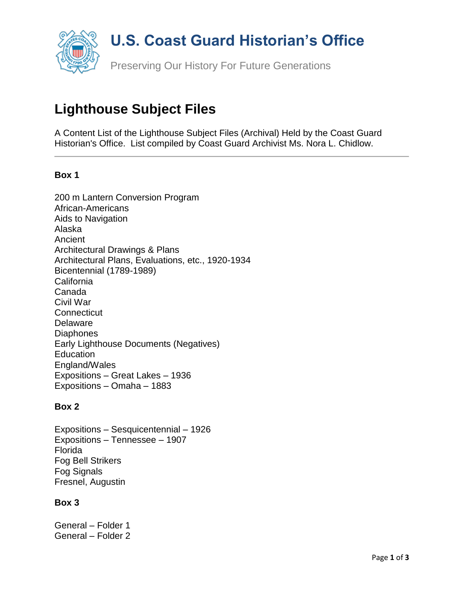

# **Lighthouse Subject Files**

A Content List of the Lighthouse Subject Files (Archival) Held by the Coast Guard Historian's Office. List compiled by Coast Guard Archivist Ms. Nora L. Chidlow.

### **Box 1**

200 m Lantern Conversion Program African-Americans Aids to Navigation Alaska Ancient Architectural Drawings & Plans Architectural Plans, Evaluations, etc., 1920-1934 Bicentennial (1789-1989) **California** Canada Civil War **Connecticut** Delaware **Diaphones** Early Lighthouse Documents (Negatives) Education England/Wales Expositions – Great Lakes – 1936 Expositions – Omaha – 1883

#### **Box 2**

Expositions – Sesquicentennial – 1926 Expositions – Tennessee – 1907 Florida Fog Bell Strikers Fog Signals Fresnel, Augustin

#### **Box 3**

General – Folder 1 General – Folder 2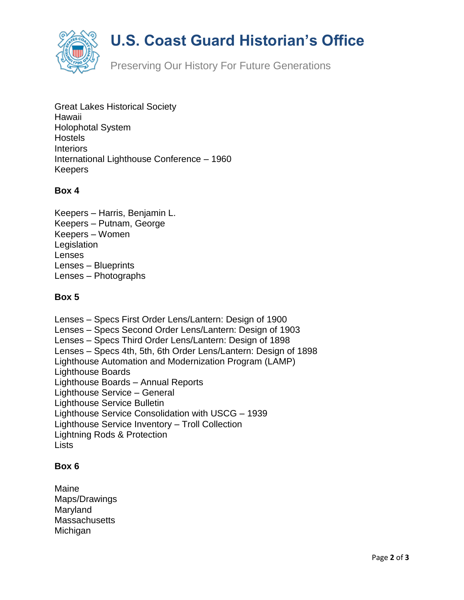

# **U.S. Coast Guard Historian's Office**

Preserving Our History For Future Generations

Great Lakes Historical Society Hawaii Holophotal System **Hostels Interiors** International Lighthouse Conference – 1960 Keepers

## **Box 4**

Keepers – Harris, Benjamin L. Keepers – Putnam, George Keepers – Women **Legislation** Lenses Lenses – Blueprints Lenses – Photographs

### **Box 5**

Lenses – Specs First Order Lens/Lantern: Design of 1900 Lenses – Specs Second Order Lens/Lantern: Design of 1903 Lenses – Specs Third Order Lens/Lantern: Design of 1898 Lenses – Specs 4th, 5th, 6th Order Lens/Lantern: Design of 1898 Lighthouse Automation and Modernization Program (LAMP) Lighthouse Boards Lighthouse Boards – Annual Reports Lighthouse Service – General Lighthouse Service Bulletin Lighthouse Service Consolidation with USCG – 1939 Lighthouse Service Inventory – Troll Collection Lightning Rods & Protection **Lists** 

### **Box 6**

Maine Maps/Drawings Maryland **Massachusetts** Michigan